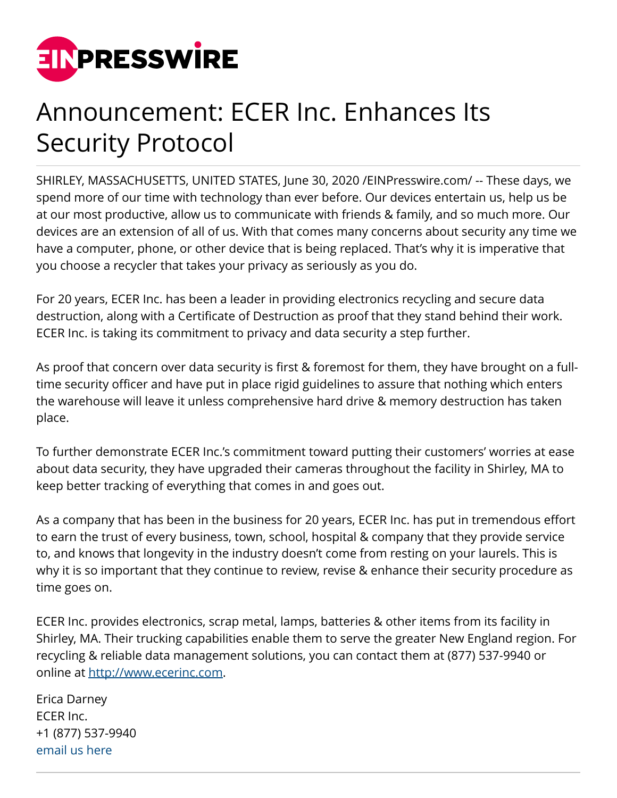

## Announcement: ECER Inc. Enhances Its Security Protocol

SHIRLEY, MASSACHUSETTS, UNITED STATES, June 30, 2020 [/EINPresswire.com](http://www.einpresswire.com)/ -- These days, we spend more of our time with technology than ever before. Our devices entertain us, help us be at our most productive, allow us to communicate with friends & family, and so much more. Our devices are an extension of all of us. With that comes many concerns about security any time we have a computer, phone, or other device that is being replaced. That's why it is imperative that you choose a recycler that takes your privacy as seriously as you do.

For 20 years, ECER Inc. has been a leader in providing electronics recycling and secure data destruction, along with a Certificate of Destruction as proof that they stand behind their work. ECER Inc. is taking its commitment to privacy and data security a step further.

As proof that concern over data security is first & foremost for them, they have brought on a fulltime security officer and have put in place rigid guidelines to assure that nothing which enters the warehouse will leave it unless comprehensive hard drive & memory destruction has taken place.

To further demonstrate ECER Inc.'s commitment toward putting their customers' worries at ease about data security, they have upgraded their cameras throughout the facility in Shirley, MA to keep better tracking of everything that comes in and goes out.

As a company that has been in the business for 20 years, ECER Inc. has put in tremendous effort to earn the trust of every business, town, school, hospital & company that they provide service to, and knows that longevity in the industry doesn't come from resting on your laurels. This is why it is so important that they continue to review, revise & enhance their security procedure as time goes on.

ECER Inc. provides electronics, scrap metal, lamps, batteries & other items from its facility in Shirley, MA. Their trucking capabilities enable them to serve the greater New England region. For recycling & reliable data management solutions, you can contact them at (877) 537-9940 or online at <http://www.ecerinc.com>.

Erica Darney ECER Inc. +1 (877) 537-9940 [email us here](http://www.einpresswire.com/contact_author/2877033)